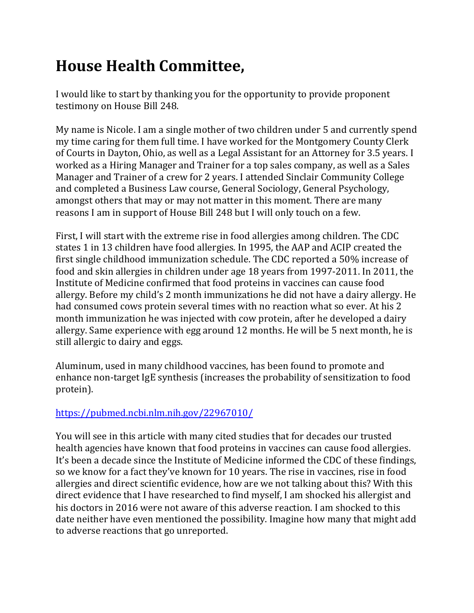## **House Health Committee,**

I would like to start by thanking you for the opportunity to provide proponent testimony on House Bill 248.

My name is Nicole. I am a single mother of two children under 5 and currently spend my time caring for them full time. I have worked for the Montgomery County Clerk of Courts in Dayton, Ohio, as well as a Legal Assistant for an Attorney for 3.5 years. I worked as a Hiring Manager and Trainer for a top sales company, as well as a Sales Manager and Trainer of a crew for 2 years. I attended Sinclair Community College and completed a Business Law course, General Sociology, General Psychology, amongst others that may or may not matter in this moment. There are many reasons I am in support of House Bill 248 but I will only touch on a few.

First, I will start with the extreme rise in food allergies among children. The CDC states 1 in 13 children have food allergies. In 1995, the AAP and ACIP created the first single childhood immunization schedule. The CDC reported a 50% increase of food and skin allergies in children under age 18 years from 1997-2011. In 2011, the Institute of Medicine confirmed that food proteins in vaccines can cause food allergy. Before my child's 2 month immunizations he did not have a dairy allergy. He had consumed cows protein several times with no reaction what so ever. At his 2 month immunization he was injected with cow protein, after he developed a dairy allergy. Same experience with egg around 12 months. He will be 5 next month, he is still allergic to dairy and eggs.

Aluminum, used in many childhood vaccines, has been found to promote and enhance non-target IgE synthesis (increases the probability of sensitization to food protein).

## https://pubmed.ncbi.nlm.nih.gov/22967010/

You will see in this article with many cited studies that for decades our trusted health agencies have known that food proteins in vaccines can cause food allergies. It's been a decade since the Institute of Medicine informed the CDC of these findings, so we know for a fact they've known for 10 years. The rise in vaccines, rise in food allergies and direct scientific evidence, how are we not talking about this? With this direct evidence that I have researched to find myself, I am shocked his allergist and his doctors in 2016 were not aware of this adverse reaction. I am shocked to this date neither have even mentioned the possibility. Imagine how many that might add to adverse reactions that go unreported.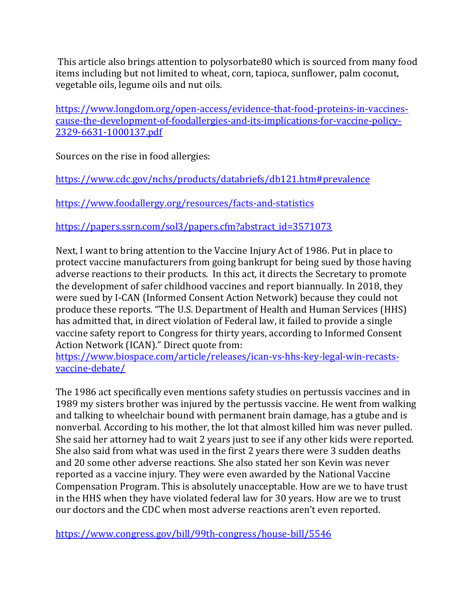This article also brings attention to polysorbate80 which is sourced from many food items including but not limited to wheat, corn, tapioca, sunflower, palm coconut, vegetable oils, legume oils and nut oils.

https://www.longdom.org/open-access/evidence-that-food-proteins-in-vaccinescause-the-development-of-foodallergies-and-its-implications-for-vaccine-policy-2329-6631-1000137.pdf

Sources on the rise in food allergies:

https://www.cdc.gov/nchs/products/databriefs/db121.htm#prevalence

https://www.foodallergy.org/resources/facts-and-statistics

https://papers.ssrn.com/sol3/papers.cfm?abstract\_id=3571073

Next, I want to bring attention to the Vaccine Injury Act of 1986. Put in place to protect vaccine manufacturers from going bankrupt for being sued by those having adverse reactions to their products. In this act, it directs the Secretary to promote the development of safer childhood vaccines and report biannually. In 2018, they were sued by I-CAN (Informed Consent Action Network) because they could not produce these reports. "The U.S. Department of Health and Human Services (HHS) has admitted that, in direct violation of Federal law, it failed to provide a single vaccine safety report to Congress for thirty years, according to Informed Consent Action Network (ICAN)." Direct quote from:

https://www.biospace.com/article/releases/ican-vs-hhs-key-legal-win-recastsvaccine-debate/

The 1986 act specifically even mentions safety studies on pertussis vaccines and in 1989 my sisters brother was injured by the pertussis vaccine. He went from walking and talking to wheelchair bound with permanent brain damage, has a gtube and is nonverbal. According to his mother, the lot that almost killed him was never pulled. She said her attorney had to wait 2 years just to see if any other kids were reported. She also said from what was used in the first 2 years there were 3 sudden deaths and 20 some other adverse reactions. She also stated her son Kevin was never reported as a vaccine injury. They were even awarded by the National Vaccine Compensation Program. This is absolutely unacceptable. How are we to have trust in the HHS when they have violated federal law for 30 years. How are we to trust our doctors and the CDC when most adverse reactions aren't even reported.

https://www.congress.gov/bill/99th-congress/house-bill/5546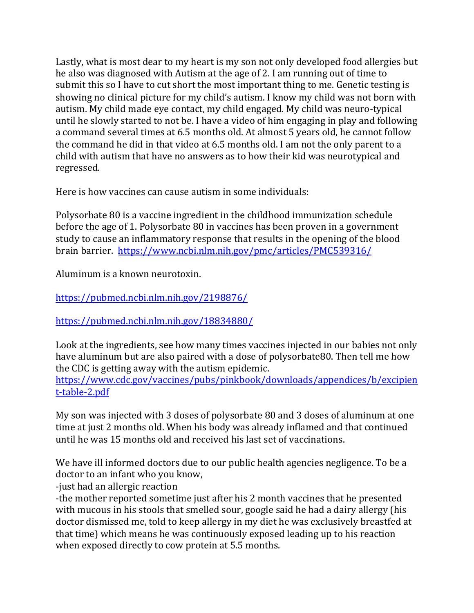Lastly, what is most dear to my heart is my son not only developed food allergies but he also was diagnosed with Autism at the age of 2. I am running out of time to submit this so I have to cut short the most important thing to me. Genetic testing is showing no clinical picture for my child's autism. I know my child was not born with autism. My child made eye contact, my child engaged. My child was neuro-typical until he slowly started to not be. I have a video of him engaging in play and following a command several times at 6.5 months old. At almost 5 years old, he cannot follow the command he did in that video at 6.5 months old. I am not the only parent to a child with autism that have no answers as to how their kid was neurotypical and regressed.

Here is how vaccines can cause autism in some individuals:

Polysorbate 80 is a vaccine ingredient in the childhood immunization schedule before the age of 1. Polysorbate 80 in vaccines has been proven in a government study to cause an inflammatory response that results in the opening of the blood brain barrier. https://www.ncbi.nlm.nih.gov/pmc/articles/PMC539316/

Aluminum is a known neurotoxin.

https://pubmed.ncbi.nlm.nih.gov/2198876/

https://pubmed.ncbi.nlm.nih.gov/18834880/

Look at the ingredients, see how many times vaccines injected in our babies not only have aluminum but are also paired with a dose of polysorbate80. Then tell me how the CDC is getting away with the autism epidemic.

https://www.cdc.gov/vaccines/pubs/pinkbook/downloads/appendices/b/excipien t-table-2.pdf

My son was injected with 3 doses of polysorbate 80 and 3 doses of aluminum at one time at just 2 months old. When his body was already inflamed and that continued until he was 15 months old and received his last set of vaccinations.

We have ill informed doctors due to our public health agencies negligence. To be a doctor to an infant who you know,

-just had an allergic reaction

-the mother reported sometime just after his 2 month vaccines that he presented with mucous in his stools that smelled sour, google said he had a dairy allergy (his doctor dismissed me, told to keep allergy in my diet he was exclusively breastfed at that time) which means he was continuously exposed leading up to his reaction when exposed directly to cow protein at 5.5 months.